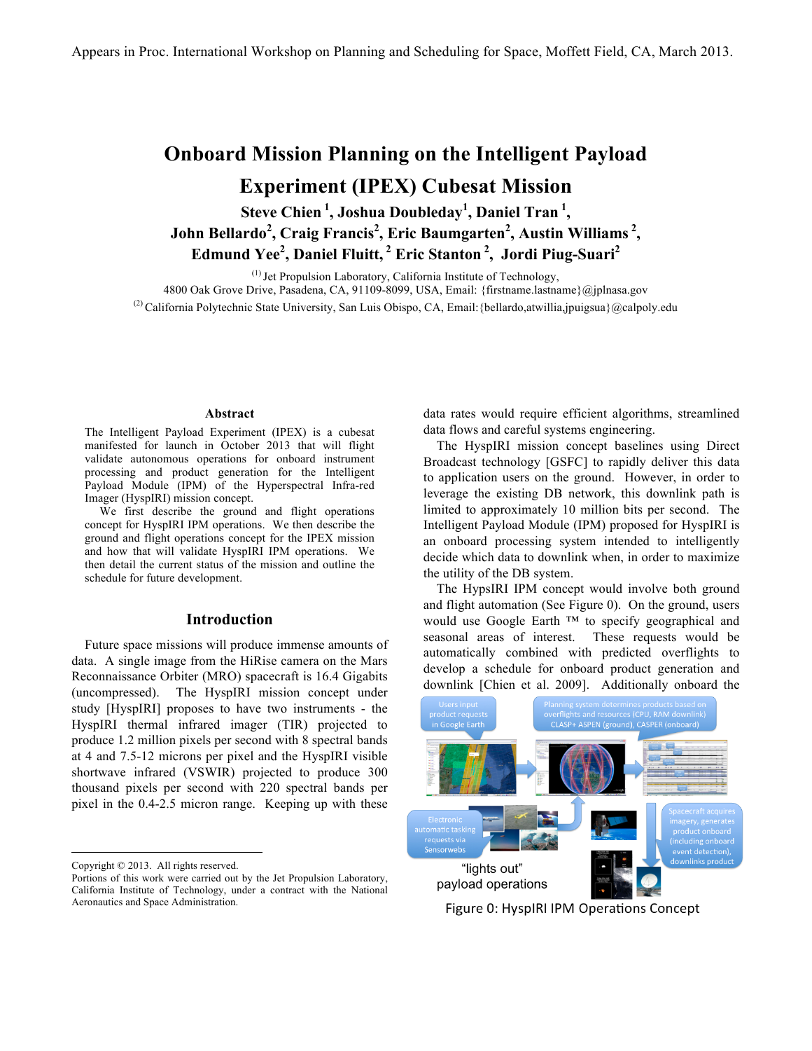# **Onboard Mission Planning on the Intelligent Payload Experiment (IPEX) Cubesat Mission**

**Steve Chien <sup>1</sup> , Joshua Doubleday1 , Daniel Tran <sup>1</sup> , John Bellardo<sup>2</sup> , Craig Francis<sup>2</sup> , Eric Baumgarten<sup>2</sup> , Austin Williams <sup>2</sup> , Edmund Yee2 , Daniel Fluitt, <sup>2</sup> Eric Stanton <sup>2</sup> , Jordi Piug-Suari2**

(1) Jet Propulsion Laboratory, California Institute of Technology, 4800 Oak Grove Drive, Pasadena, CA, 91109-8099, USA, Email: {firstname.lastname}@jplnasa.gov (2) California Polytechnic State University, San Luis Obispo, CA, Email: {bellardo,atwillia,jpuigsua}@calpoly.edu

#### **Abstract**

The Intelligent Payload Experiment (IPEX) is a cubesat manifested for launch in October 2013 that will flight validate autonomous operations for onboard instrument processing and product generation for the Intelligent Payload Module (IPM) of the Hyperspectral Infra-red Imager (HyspIRI) mission concept.

 We first describe the ground and flight operations concept for HyspIRI IPM operations. We then describe the ground and flight operations concept for the IPEX mission and how that will validate HyspIRI IPM operations. We then detail the current status of the mission and outline the schedule for future development.

#### **Introduction**

Future space missions will produce immense amounts of data. A single image from the HiRise camera on the Mars Reconnaissance Orbiter (MRO) spacecraft is 16.4 Gigabits (uncompressed). The HyspIRI mission concept under study [HyspIRI] proposes to have two instruments - the HyspIRI thermal infrared imager (TIR) projected to produce 1.2 million pixels per second with 8 spectral bands at 4 and 7.5-12 microns per pixel and the HyspIRI visible shortwave infrared (VSWIR) projected to produce 300 thousand pixels per second with 220 spectral bands per pixel in the 0.4-2.5 micron range. Keeping up with these data rates would require efficient algorithms, streamlined data flows and careful systems engineering.

The HyspIRI mission concept baselines using Direct Broadcast technology [GSFC] to rapidly deliver this data to application users on the ground. However, in order to leverage the existing DB network, this downlink path is limited to approximately 10 million bits per second. The Intelligent Payload Module (IPM) proposed for HyspIRI is an onboard processing system intended to intelligently decide which data to downlink when, in order to maximize the utility of the DB system.

The HypsIRI IPM concept would involve both ground and flight automation (See Figure 0). On the ground, users would use Google Earth ™ to specify geographical and seasonal areas of interest. These requests would be automatically combined with predicted overflights to develop a schedule for onboard product generation and downlink [Chien et al. 2009]. Additionally onboard the



Figure 0: HyspIRI IPM Operations Concept

Copyright © 2013. All rights reserved.

Portions of this work were carried out by the Jet Propulsion Laboratory, California Institute of Technology, under a contract with the National Aeronautics and Space Administration.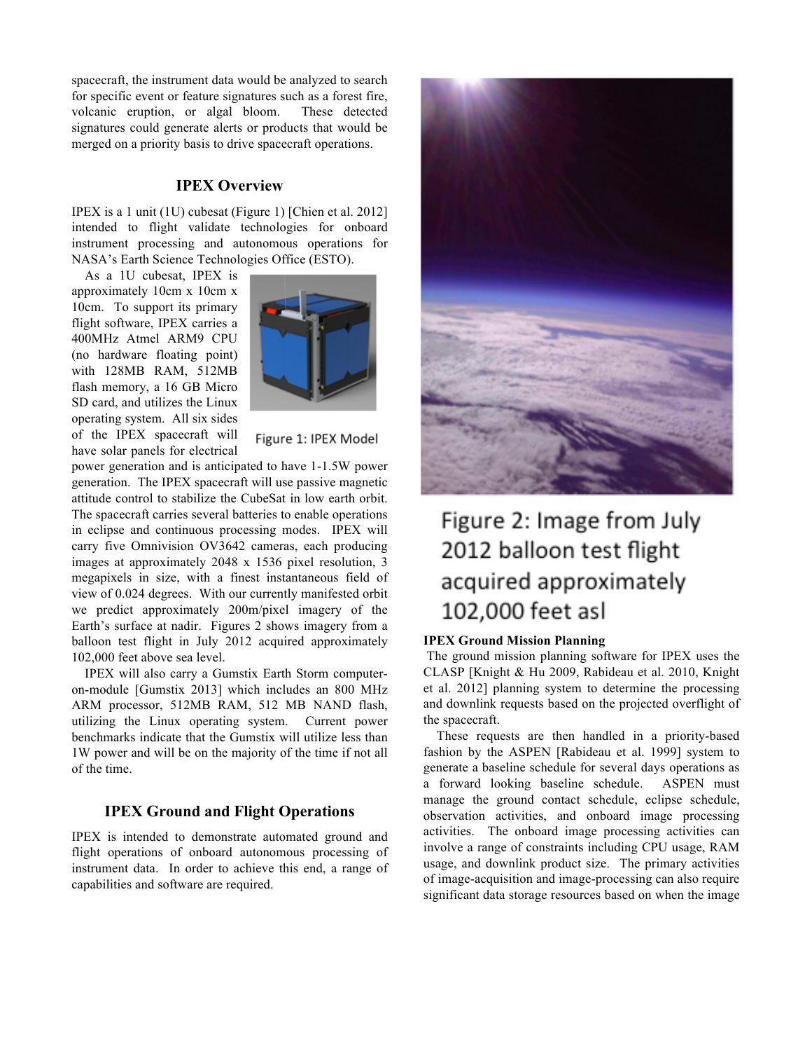spacecraft, the instrument data would be analyzed to search for specific event or feature signatures such as a forest fire, volcanic eruption, or algal bloom. These detected signatures could generate alerts or products that would be merged on a priority basis to drive spacecraft operations.

### **IPEX Overview**

IPEX is a 1 unit (1U) cubesat (Figure 1) [Chien et al. 2012] intended to flight validate technologies for onboard instrument processing and autonomous operations for NASA's Earth Science Technologies Office (ESTO).

As a 1U cubesat, IPEX is approximately 10cm x 10cm x 10cm. To support its primary flight software, IPEX carries a 400MHz Atmel ARM9 CPU (no hardware floating point) with 128MB RAM, 512MB flash memory, a 16 GB Micro SD card, and utilizes the Linux operating system. All six sides of the IPEX spacecraft will have solar panels for electrical



Figure 1: IPEX Model

power generation and is anticipated to have 1-1.5W power generation. The IPEX spacecraft will use passive magnetic attitude control to stabilize the CubeSat in low earth orbit. The spacecraft carries several batteries to enable operations in eclipse and continuous processing modes. IPEX will carry five Omnivision OV3642 cameras, each producing images at approximately 2048 x 1536 pixel resolution, 3 megapixels in size, with a finest instantaneous field of view of 0.024 degrees. With our currently manifested orbit we predict approximately 200m/pixel imagery of the Earth's surface at nadir. Figures 2 shows imagery from a balloon test flight in July 2012 acquired approximately 102,000 feet above sea level.

IPEX will also carry a Gumstix Earth Storm computeron-module [Gumstix 2013] which includes an 800 MHz ARM processor, 512MB RAM, 512 MB NAND flash, utilizing the Linux operating system. Current power benchmarks indicate that the Gumstix will utilize less than 1W power and will be on the majority of the time if not all of the time.

# **IPEX Ground and Flight Operations**

IPEX is intended to demonstrate automated ground and flight operations of onboard autonomous processing of instrument data. In order to achieve this end, a range of capabilities and software are required.



# Figure 2: Image from July 2012 balloon test flight acquired approximately 102,000 feet asl

#### **IPEX Ground Mission Planning**

The ground mission planning software for IPEX uses the CLASP [Knight & Hu 2009, Rabideau et al. 2010, Knight et al. 2012] planning system to determine the processing and downlink requests based on the projected overflight of the spacecraft.

These requests are then handled in a priority-based fashion by the ASPEN [Rabideau et al. 1999] system to generate a baseline schedule for several days operations as a forward looking baseline schedule. ASPEN must manage the ground contact schedule, eclipse schedule, observation activities, and onboard image processing activities. The onboard image processing activities can involve a range of constraints including CPU usage, RAM usage, and downlink product size. The primary activities of image-acquisition and image-processing can also require significant data storage resources based on when the image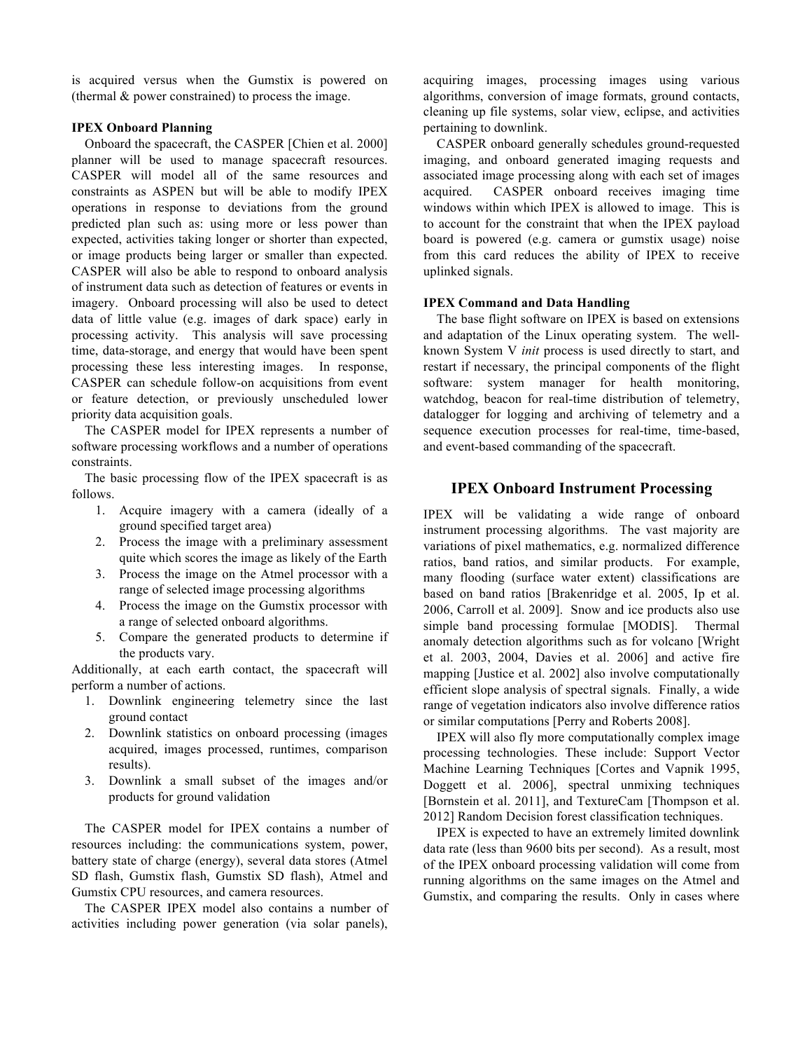is acquired versus when the Gumstix is powered on (thermal & power constrained) to process the image.

#### **IPEX Onboard Planning**

Onboard the spacecraft, the CASPER [Chien et al. 2000] planner will be used to manage spacecraft resources. CASPER will model all of the same resources and constraints as ASPEN but will be able to modify IPEX operations in response to deviations from the ground predicted plan such as: using more or less power than expected, activities taking longer or shorter than expected, or image products being larger or smaller than expected. CASPER will also be able to respond to onboard analysis of instrument data such as detection of features or events in imagery. Onboard processing will also be used to detect data of little value (e.g. images of dark space) early in processing activity. This analysis will save processing time, data-storage, and energy that would have been spent processing these less interesting images. In response, CASPER can schedule follow-on acquisitions from event or feature detection, or previously unscheduled lower priority data acquisition goals.

The CASPER model for IPEX represents a number of software processing workflows and a number of operations constraints.

The basic processing flow of the IPEX spacecraft is as follows.

- 1. Acquire imagery with a camera (ideally of a ground specified target area)
- 2. Process the image with a preliminary assessment quite which scores the image as likely of the Earth
- 3. Process the image on the Atmel processor with a range of selected image processing algorithms
- 4. Process the image on the Gumstix processor with a range of selected onboard algorithms.
- 5. Compare the generated products to determine if the products vary.

Additionally, at each earth contact, the spacecraft will perform a number of actions.

- 1. Downlink engineering telemetry since the last ground contact
- 2. Downlink statistics on onboard processing (images acquired, images processed, runtimes, comparison results).
- 3. Downlink a small subset of the images and/or products for ground validation

The CASPER model for IPEX contains a number of resources including: the communications system, power, battery state of charge (energy), several data stores (Atmel SD flash, Gumstix flash, Gumstix SD flash), Atmel and Gumstix CPU resources, and camera resources.

The CASPER IPEX model also contains a number of activities including power generation (via solar panels),

acquiring images, processing images using various algorithms, conversion of image formats, ground contacts, cleaning up file systems, solar view, eclipse, and activities pertaining to downlink.

CASPER onboard generally schedules ground-requested imaging, and onboard generated imaging requests and associated image processing along with each set of images acquired. CASPER onboard receives imaging time windows within which IPEX is allowed to image. This is to account for the constraint that when the IPEX payload board is powered (e.g. camera or gumstix usage) noise from this card reduces the ability of IPEX to receive uplinked signals.

#### **IPEX Command and Data Handling**

The base flight software on IPEX is based on extensions and adaptation of the Linux operating system. The wellknown System V *init* process is used directly to start, and restart if necessary, the principal components of the flight software: system manager for health monitoring, watchdog, beacon for real-time distribution of telemetry, datalogger for logging and archiving of telemetry and a sequence execution processes for real-time, time-based, and event-based commanding of the spacecraft.

# **IPEX Onboard Instrument Processing**

IPEX will be validating a wide range of onboard instrument processing algorithms. The vast majority are variations of pixel mathematics, e.g. normalized difference ratios, band ratios, and similar products. For example, many flooding (surface water extent) classifications are based on band ratios [Brakenridge et al. 2005, Ip et al. 2006, Carroll et al. 2009]. Snow and ice products also use simple band processing formulae [MODIS]. Thermal anomaly detection algorithms such as for volcano [Wright et al. 2003, 2004, Davies et al. 2006] and active fire mapping [Justice et al. 2002] also involve computationally efficient slope analysis of spectral signals. Finally, a wide range of vegetation indicators also involve difference ratios or similar computations [Perry and Roberts 2008].

IPEX will also fly more computationally complex image processing technologies. These include: Support Vector Machine Learning Techniques [Cortes and Vapnik 1995, Doggett et al. 2006], spectral unmixing techniques [Bornstein et al. 2011], and TextureCam [Thompson et al. 2012] Random Decision forest classification techniques.

IPEX is expected to have an extremely limited downlink data rate (less than 9600 bits per second). As a result, most of the IPEX onboard processing validation will come from running algorithms on the same images on the Atmel and Gumstix, and comparing the results. Only in cases where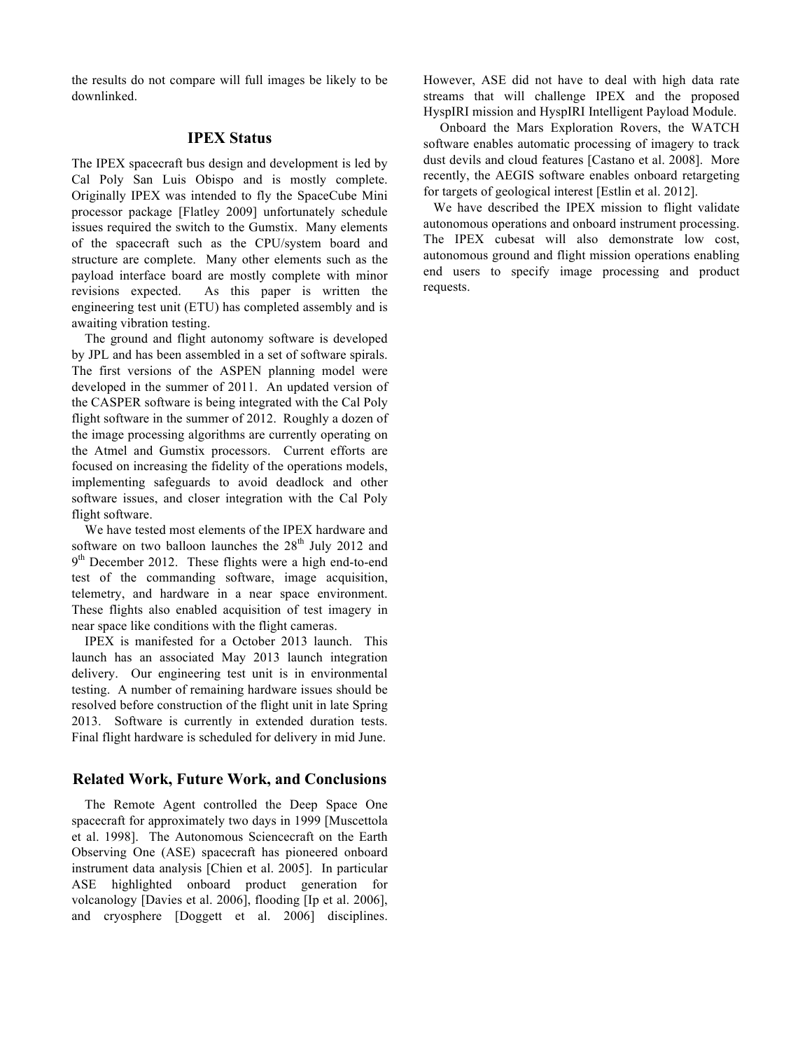the results do not compare will full images be likely to be downlinked.

# **IPEX Status**

The IPEX spacecraft bus design and development is led by Cal Poly San Luis Obispo and is mostly complete. Originally IPEX was intended to fly the SpaceCube Mini processor package [Flatley 2009] unfortunately schedule issues required the switch to the Gumstix. Many elements of the spacecraft such as the CPU/system board and structure are complete. Many other elements such as the payload interface board are mostly complete with minor revisions expected. As this paper is written the engineering test unit (ETU) has completed assembly and is awaiting vibration testing.

The ground and flight autonomy software is developed by JPL and has been assembled in a set of software spirals. The first versions of the ASPEN planning model were developed in the summer of 2011. An updated version of the CASPER software is being integrated with the Cal Poly flight software in the summer of 2012. Roughly a dozen of the image processing algorithms are currently operating on the Atmel and Gumstix processors. Current efforts are focused on increasing the fidelity of the operations models, implementing safeguards to avoid deadlock and other software issues, and closer integration with the Cal Poly flight software.

We have tested most elements of the IPEX hardware and software on two balloon launches the  $28<sup>th</sup>$  July 2012 and  $9<sup>th</sup>$  December 2012. These flights were a high end-to-end test of the commanding software, image acquisition, telemetry, and hardware in a near space environment. These flights also enabled acquisition of test imagery in near space like conditions with the flight cameras.

IPEX is manifested for a October 2013 launch. This launch has an associated May 2013 launch integration delivery. Our engineering test unit is in environmental testing. A number of remaining hardware issues should be resolved before construction of the flight unit in late Spring 2013. Software is currently in extended duration tests. Final flight hardware is scheduled for delivery in mid June.

# **Related Work, Future Work, and Conclusions**

The Remote Agent controlled the Deep Space One spacecraft for approximately two days in 1999 [Muscettola et al. 1998]. The Autonomous Sciencecraft on the Earth Observing One (ASE) spacecraft has pioneered onboard instrument data analysis [Chien et al. 2005]. In particular ASE highlighted onboard product generation for volcanology [Davies et al. 2006], flooding [Ip et al. 2006], and cryosphere [Doggett et al. 2006] disciplines.

However, ASE did not have to deal with high data rate streams that will challenge IPEX and the proposed HyspIRI mission and HyspIRI Intelligent Payload Module.

 Onboard the Mars Exploration Rovers, the WATCH software enables automatic processing of imagery to track dust devils and cloud features [Castano et al. 2008]. More recently, the AEGIS software enables onboard retargeting for targets of geological interest [Estlin et al. 2012].

 We have described the IPEX mission to flight validate autonomous operations and onboard instrument processing. The IPEX cubesat will also demonstrate low cost, autonomous ground and flight mission operations enabling end users to specify image processing and product requests.